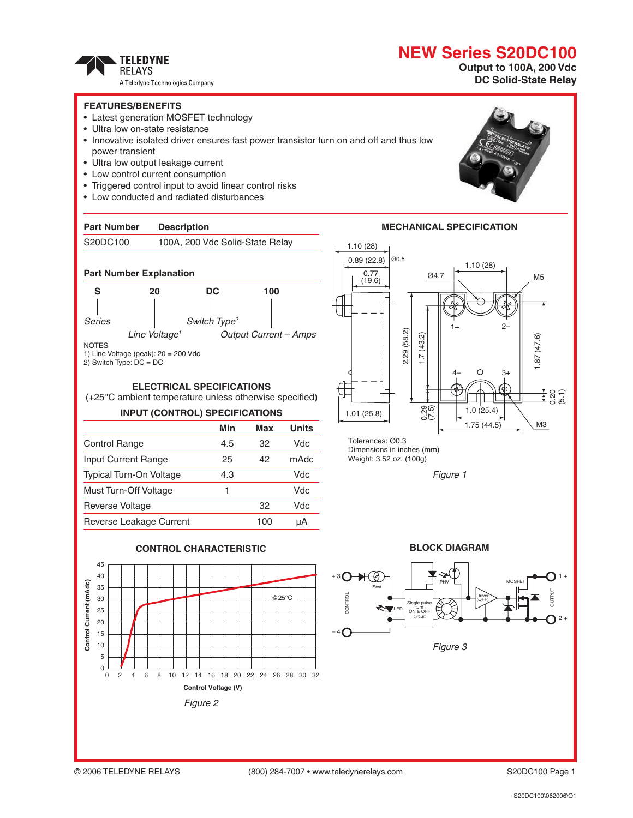# **NEW Series S20DC100**



A Teledyne Technologies Company

### **Output to 100A, 200 Vdc DC Solid-State Relay**

#### **FEATURES/BENEFITS**

- Latest generation MOSFET technology
- Ultra low on-state resistance
- Innovative isolated driver ensures fast power transistor turn on and off and thus low power transient
- Ultra low output leakage current
- Low control current consumption
- Triggered control input to avoid linear control risks
- Low conducted and radiated disturbances

#### **Part Number Description**

#### S20DC100 100A, 200 Vdc Solid-State Relay



1) Line Voltage (peak): 20 = 200 Vdc

2) Switch Type: DC = DC

#### **ELECTRICAL SPECIFICATIONS**

(+25°C ambient temperature unless otherwise specified)

#### **INPUT (CONTROL) SPECIFICATIONS**

|                                | Min | Max | <b>Units</b> |
|--------------------------------|-----|-----|--------------|
| <b>Control Range</b>           | 4.5 | 32  | Vdc          |
| Input Current Range            | 25  | 42  | mAdc         |
| <b>Typical Turn-On Voltage</b> | 4.3 |     | Vdc          |
| Must Turn-Off Voltage          | 1   |     | Vdc          |
| <b>Reverse Voltage</b>         |     | 32  | Vdc          |
| Reverse Leakage Current        |     | 100 | uА           |





**BLOCK DIAGRAM**

*Figure 1*

Tolerances: Ø0.3 Dimensions in inches (mm) weight: 3.52 oz. (100g)

1.01 (25.8)

 $\frac{4}{\sqrt{2}}$ 

1.10 (28)

0.77 (19.6) 0.89 (22.8)

 $\mathbf{L}$ 





Ø4.7

1.7 (43.2)

2.29 (58.2)

2.29 (58.2)

Ø0.5

ನಿಗ್<br>೧<br>೧

1+ 2–

1.10 (28)

4– 3+

1.0 (25.4) 1.75 (44.5) 1.87 (47.6)

 $1.87(47.6)$ 

M3

M5

0.20 (5.1)

**Control Current (mAdc)**

Control Current (mAdc)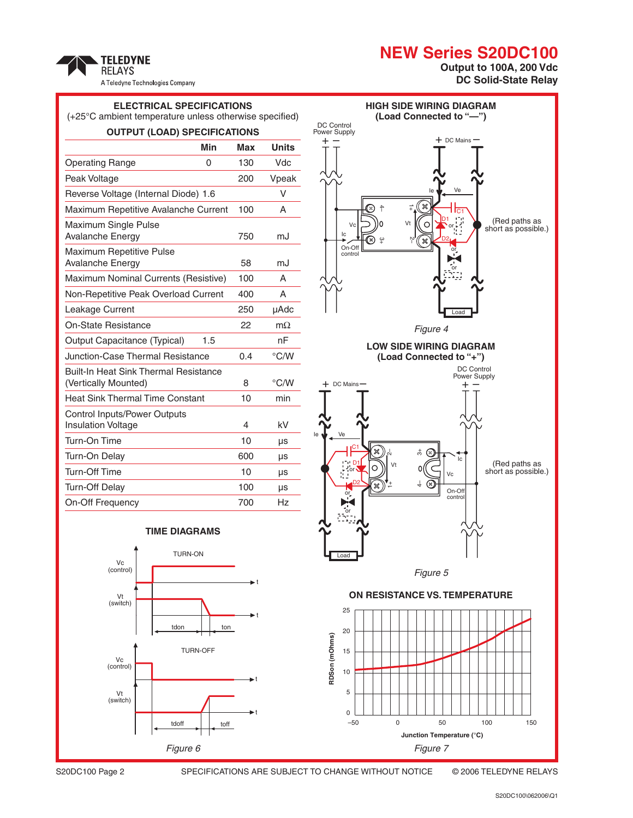# **NEW Series S20DC100**

 $+$  DC Mains  $-$ 

**HIGH SIDE WIRING DIAGRAM (Load Connected to "—")**

+ – DC Control Power Supply





**TELEDYNE** 

## **ELECTRICAL SPECIFICATIONS** (+25°C ambient temperature unless otherwise specified) **OUTPUT (LOAD) SPECIFICATIONS Min Max Units**

| Operating Range                                                      | 0   | 130 | Vdc           |
|----------------------------------------------------------------------|-----|-----|---------------|
| Peak Voltage                                                         |     | 200 | Vpeak         |
| Reverse Voltage (Internal Diode) 1.6                                 |     |     | $\vee$        |
| Maximum Repetitive Avalanche Current                                 |     | 100 | A             |
| Maximum Single Pulse<br>Avalanche Energy                             |     | 750 | mJ            |
| <b>Maximum Repetitive Pulse</b><br><b>Avalanche Energy</b>           |     | 58  | mJ            |
| Maximum Nominal Currents (Resistive)                                 |     | 100 | A             |
| Non-Repetitive Peak Overload Current                                 |     | 400 | A             |
| Leakage Current                                                      |     | 250 | µAdc          |
| On-State Resistance                                                  |     | 22  | $m\Omega$     |
| Output Capacitance (Typical)                                         | 1.5 |     | nF            |
| Junction-Case Thermal Resistance                                     |     | 0.4 | $\degree$ C/W |
| <b>Built-In Heat Sink Thermal Resistance</b><br>(Vertically Mounted) |     | 8   | $\degree$ C/W |
| <b>Heat Sink Thermal Time Constant</b>                               |     | 10  | min           |
| <b>Control Inputs/Power Outputs</b><br><b>Insulation Voltage</b>     |     | 4   | kV            |
| Turn-On Time                                                         |     | 10  | μs            |
| Turn-On Delay                                                        |     | 600 | μs            |
| Turn-Off Time                                                        |     | 10  | μs            |
| <b>Turn-Off Delay</b>                                                |     | 100 | μs            |
| On-Off Frequency                                                     |     | 700 | Hz            |







S20DC100 Page 2 Specifications are subject to change without notice © 2006 TELEDYNE RELAYS